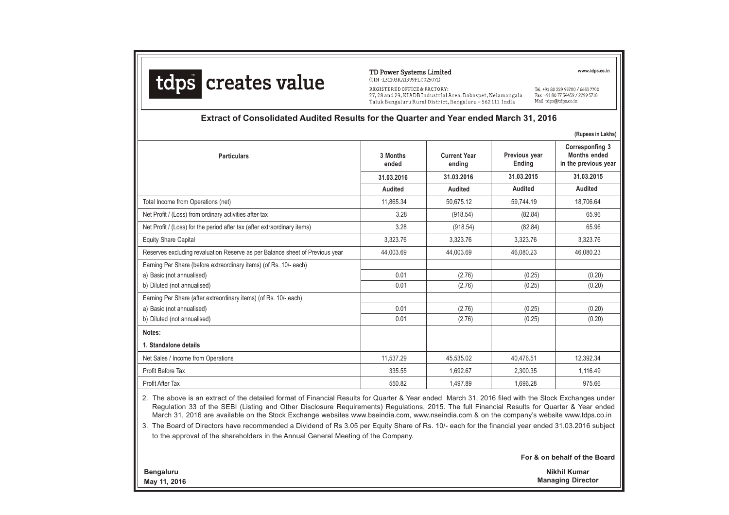

TD Power Systems Limited (CIN-L31103KA1999PLC025071)

REGISTERED OFFICE & FACTORY: 27, 28 and 29, KIADB Industrial Area, Dabaspet, Nelamangala Taluk Bengaluru Rural District, Bengaluru - 562111 India

www.tdps.co.in

Tel +91 80 229 95700 / 6633 7700 Fax +91 80 77 34439 / 2299 5718 Mail tdps@tdps.co.in

#### **Extract of Consolidated Audited Results for the Quarter and Year ended March 31, 2016**

|                   |                               |                         | (Rupees in Lakhs)                                              |
|-------------------|-------------------------------|-------------------------|----------------------------------------------------------------|
| 3 Months<br>ended | <b>Current Year</b><br>ending | Previous year<br>Ending | Corresponfing 3<br><b>Months ended</b><br>in the previous year |
| 31.03.2016        | 31.03.2016                    | 31.03.2015              | 31.03.2015                                                     |
| Audited           | <b>Audited</b>                | <b>Audited</b>          | Audited                                                        |
| 11.865.34         | 50.675.12                     | 59.744.19               | 18.706.64                                                      |
| 3.28              | (918.54)                      | (82.84)                 | 65.96                                                          |
| 3.28              | (918.54)                      | (82.84)                 | 65.96                                                          |
| 3,323.76          | 3,323.76                      | 3,323.76                | 3,323.76                                                       |
| 44,003.69         | 44,003.69                     | 46,080.23               | 46,080.23                                                      |
|                   |                               |                         |                                                                |
| 0.01              | (2.76)                        | (0.25)                  | (0.20)                                                         |
| 0.01              | (2.76)                        | (0.25)                  | (0.20)                                                         |
|                   |                               |                         |                                                                |
| 0.01              | (2.76)                        | (0.25)                  | (0.20)                                                         |
| 0.01              | (2.76)                        | (0.25)                  | (0.20)                                                         |
|                   |                               |                         |                                                                |
|                   |                               |                         |                                                                |
| 11,537.29         | 45,535.02                     | 40,476.51               | 12,392.34                                                      |
| 335.55            | 1.692.67                      | 2.300.35                | 1.116.49                                                       |
| 550.82            | 1,497.89                      | 1,696.28                | 975.66                                                         |
|                   |                               |                         |                                                                |

2. The above is an extract of the detailed format of Financial Results for Quarter & Year ended March 31, 2016 filed with the Stock Exchanges under Regulation 33 of the SEBI (Listing and Other Disclosure Requirements) Regulations, 2015. The full Financial Results for Quarter & Year ended March 31, 2016 are available on the Stock Exchange websites www.bseindia.com, www.nseindia.com & on the company's website www.tdps.co.in

3. The Board of Directors have recommended a Dividend of Rs 3.05 per Equity Share of Rs. 10/- each for the financial year ended 31.03.2016 subject to the approval of the shareholders in the Annual General Meeting of the Company.

**For & on behalf of the Board**

**Bengaluru May 11, 2016**

**Nikhil Kumar Managing Director**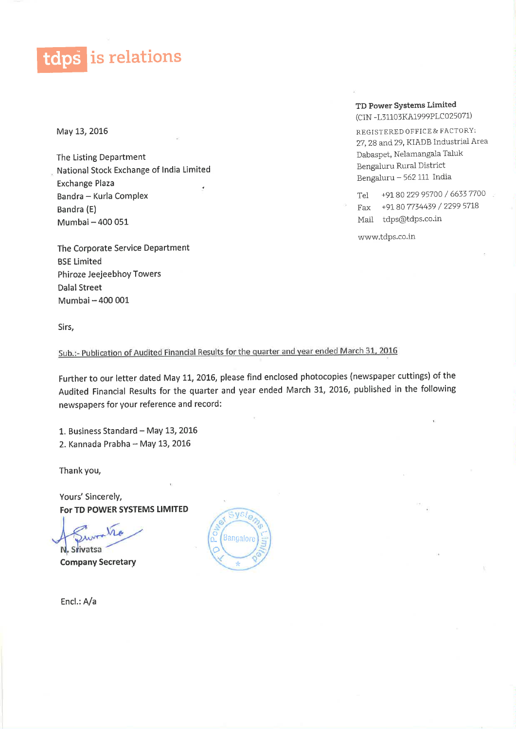tdps is relations

May 13, 2016

The Listing Department National Stock Exchange of India Limited **Exchange Plaza** Bandra - Kurla Complex Bandra (E) Mumbai - 400 051

The Corporate Service Department **BSE Limited** Phiroze Jeejeebhoy Towers **Dalal Street** Mumbai - 400 001

#### TD Power Systems Limited (CIN-L31103KA1999PLC025071)

REGISTERED OFFICE & FACTORY: 27, 28 and 29, KIADB Industrial Area Dabaspet, Nelamangala Taluk Bengaluru Rural District Bengaluru - 562 111 India

+91 80 229 95700 / 6633 7700 Tel Fax +91 80 7734439 / 2299 5718 Mail tdps@tdps.co.in

www.tdps.co.in

Sirs,

Sub.:- Publication of Audited Financial Results for the quarter and year ended March 31, 2016

Further to our letter dated May 11, 2016, please find enclosed photocopies (newspaper cuttings) of the Audited Financial Results for the quarter and year ended March 31, 2016, published in the following newspapers for your reference and record:

1. Business Standard - May 13, 2016 2. Kannada Prabha - May 13, 2016

Thank you,

Yours' Sincerely, For TD POWER SYSTEMS LIMITED

N. Srivatsa

**Company Secretary** 



Encl.: A/a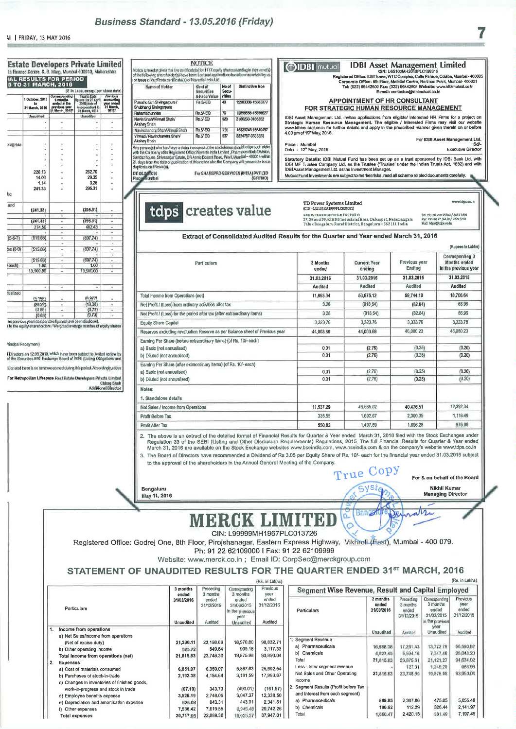### Business Standard - 13.05.2016 (Friday)

|           | Ils Finance Centre, S. B. Marg, Mumbal 400013, Maharashtra<br><b>IAL RESULTS FOR PERIOD</b><br>5 TO 31 MARCH, 2016 |                                           | (₹ in Lecs, except per share date)                                                                                                                |                                                            | Notice is hereby given that the certificate(s) for 1717 equity shares standing in the name(s)<br>of the following shareholder(s) have been Lost and applications have been received by us<br>lor issue of duplicate certificate(s) of Novartis India Ltd.<br>No of<br><b>Distinctive Nos</b><br>Name of Holder<br>Kind of<br>Secu-<br>Securities                                                     | <b>OIDBI</b>                                       |
|-----------|--------------------------------------------------------------------------------------------------------------------|-------------------------------------------|---------------------------------------------------------------------------------------------------------------------------------------------------|------------------------------------------------------------|------------------------------------------------------------------------------------------------------------------------------------------------------------------------------------------------------------------------------------------------------------------------------------------------------------------------------------------------------------------------------------------------------|----------------------------------------------------|
|           | 1 October, 2015<br>to                                                                                              | Corresponding<br>6 months<br>anded in the | Year to Date<br>ures for 27 April<br>2016 (data of<br>scorporation) to                                                                            | Previous<br>accounting<br>year ended<br>31 March,<br>2015* | rities<br>& Face Value<br><b>Rs.5/-EQ</b><br>40<br>15583338-15583377<br>Purushotlam Siwingarpure /<br>Shubhangi Shringarpure                                                                                                                                                                                                                                                                         |                                                    |
|           | 31 March, 2016<br>Unaudited                                                                                        | previous year<br>11 March, 2015*          | 21 March, 2016<br>Unaudited                                                                                                                       |                                                            | Rs.5/-EQ<br>70<br>15856558-15856627<br>Rahamathunnisa                                                                                                                                                                                                                                                                                                                                                | <b>FOR</b><br><b>IDBI Asset Mana</b>               |
|           |                                                                                                                    |                                           |                                                                                                                                                   |                                                            | Navin Shah/Vimati Shah/<br><b>Ps.5/-EQ</b><br>320<br>3166233-3166552<br>Akshay Shah                                                                                                                                                                                                                                                                                                                  | Strategic Humar                                    |
|           |                                                                                                                    |                                           |                                                                                                                                                   |                                                            | Rs.5/EQ<br>15539748-15540497<br>Navinchandra Shah/Virma6 Shah<br>750<br>Virmati / Navinchandra Shah/<br>Rs.5/-EQ<br>537<br>33347B7-3335323                                                                                                                                                                                                                                                           | www.ldbimulual.c<br>4.00 pm of 19 <sup>m</sup> Ma  |
| xogress   |                                                                                                                    |                                           |                                                                                                                                                   |                                                            | Akshay Shah                                                                                                                                                                                                                                                                                                                                                                                          | Place: Mumbai                                      |
|           |                                                                                                                    |                                           | ×                                                                                                                                                 | ÷<br>٠                                                     | Any person(s) who has/have a claim in respect of the said shares should lodge such claim<br>with the Company at its Registered Office: Novartis India Umited, Pharmaceuticals Division,                                                                                                                                                                                                              | Date : 12 <sup>*</sup> May.                        |
|           |                                                                                                                    |                                           |                                                                                                                                                   | ä                                                          | Sandoz house, Shivasagar Estate, DR Annie Besant Road, Worli, Mumbal - 400014 within<br>21 days from the date of publication of this notice alse the Company will proceed to issue                                                                                                                                                                                                                   | <b>Statutory Details</b><br><b>IDBI MF Trustee</b> |
|           | 226.13                                                                                                             |                                           | 262.70                                                                                                                                            | ÷,                                                         | duplicate certificate(s).<br>For SHAREPRO SERVICES (INDIA) PVT LTD                                                                                                                                                                                                                                                                                                                                   | <b>IDBIAsset Manag</b>                             |
|           | 14.06                                                                                                              |                                           | 29.35<br>3.26                                                                                                                                     | ٠                                                          | DT: 06.0572016<br>Placy Mumbel<br>(GRRAO)                                                                                                                                                                                                                                                                                                                                                            | Mutual Fund Inves                                  |
|           | 1.14<br>241.33                                                                                                     |                                           | 295.31                                                                                                                                            | ¥                                                          |                                                                                                                                                                                                                                                                                                                                                                                                      |                                                    |
| be        |                                                                                                                    |                                           |                                                                                                                                                   |                                                            |                                                                                                                                                                                                                                                                                                                                                                                                      |                                                    |
| and       | (241.33)                                                                                                           |                                           | (295.31)                                                                                                                                          |                                                            |                                                                                                                                                                                                                                                                                                                                                                                                      | <b>TD Poy</b><br>$(CDN - L31)$                     |
|           |                                                                                                                    | ٠                                         |                                                                                                                                                   | ٠                                                          | tdps creates value                                                                                                                                                                                                                                                                                                                                                                                   | <b>REGISTE</b>                                     |
|           | (241.33)<br>274.50                                                                                                 | ٠<br>٠                                    | (295.31)<br>402.43                                                                                                                                | ۰<br>٠                                                     |                                                                                                                                                                                                                                                                                                                                                                                                      | $27,28$ an<br><b>Taluk</b> Be                      |
|           | (515.83)                                                                                                           |                                           |                                                                                                                                                   | ٠<br>٠                                                     | <b>Extract of Consolidated Audited Results for the</b>                                                                                                                                                                                                                                                                                                                                               |                                                    |
| $(5-6-7)$ |                                                                                                                    | ۰                                         | (607.74)                                                                                                                                          | ×                                                          |                                                                                                                                                                                                                                                                                                                                                                                                      |                                                    |
| ax (8-9)  | (515.83)                                                                                                           | ٠<br>٠                                    | (697.74)                                                                                                                                          | ٠<br>×                                                     |                                                                                                                                                                                                                                                                                                                                                                                                      |                                                    |
|           | (515.83)                                                                                                           |                                           | (697.74)                                                                                                                                          | ٠                                                          | Particulars                                                                                                                                                                                                                                                                                                                                                                                          | 3 M                                                |
| each)     | 1.00<br>13,500.00                                                                                                  | ٠<br>٠                                    | 1.00<br>13,500.00                                                                                                                                 | ٠<br>ü                                                     |                                                                                                                                                                                                                                                                                                                                                                                                      | er                                                 |
|           |                                                                                                                    |                                           |                                                                                                                                                   |                                                            |                                                                                                                                                                                                                                                                                                                                                                                                      | 31.0                                               |
|           |                                                                                                                    |                                           |                                                                                                                                                   | ٠                                                          |                                                                                                                                                                                                                                                                                                                                                                                                      | Au                                                 |
| tualized  | (5, 158)                                                                                                           |                                           | (6,977)                                                                                                                                           |                                                            | Total Income from Operations (net)                                                                                                                                                                                                                                                                                                                                                                   | 11,                                                |
|           | (26.22)                                                                                                            | ٠                                         | (19.38)                                                                                                                                           | ä                                                          | Net Profit / (Loss) from ordinary activities after tax                                                                                                                                                                                                                                                                                                                                               |                                                    |
|           | (0,88)<br>(0.88)                                                                                                   |                                           | (0.73)<br>(0.73)                                                                                                                                  | ۰                                                          | Nel Profit / (Loss) for the period after tax (after extraordinary items)                                                                                                                                                                                                                                                                                                                             |                                                    |
|           | no previous year/ comparable Equres have been disclosed.                                                           |                                           | t to the equity shareholders / Weighted average number of equity shares                                                                           |                                                            | Equity Share Capital                                                                                                                                                                                                                                                                                                                                                                                 | 3,                                                 |
|           |                                                                                                                    |                                           |                                                                                                                                                   |                                                            | Reserves excluding revaluation Reserve as per Balance sheet of Previous year                                                                                                                                                                                                                                                                                                                         | 44,                                                |
|           |                                                                                                                    |                                           |                                                                                                                                                   |                                                            | Earning Per Share (before extraordinary Items) (of Rs. 10/- each)                                                                                                                                                                                                                                                                                                                                    |                                                    |
|           | <sup>2</sup> rincipal Repayment)                                                                                   |                                           |                                                                                                                                                   |                                                            | a) Basic (not annualised)                                                                                                                                                                                                                                                                                                                                                                            |                                                    |
|           |                                                                                                                    |                                           | I Directors on 12:05:2016, which have been subject to fimiled review by<br>of the Securities and Exchange Board of India (Listing Obligations and |                                                            | b) Diluted (not annualised)                                                                                                                                                                                                                                                                                                                                                                          |                                                    |
|           |                                                                                                                    |                                           | ation and there is no reverue earned during this period. Accordingly, ratios                                                                      |                                                            | Earning Per Share (after extraordinary Items) (of Rs. 10/-each)                                                                                                                                                                                                                                                                                                                                      |                                                    |
|           |                                                                                                                    |                                           | For Metropolitan Lifespace Real Estate Davelopers Private Limited                                                                                 |                                                            | a) Basic (not annualised)<br>b) Diluted (not annualised)                                                                                                                                                                                                                                                                                                                                             |                                                    |
|           |                                                                                                                    |                                           |                                                                                                                                                   | Chirag Shah<br><b>Additional Director</b>                  |                                                                                                                                                                                                                                                                                                                                                                                                      |                                                    |
|           |                                                                                                                    |                                           |                                                                                                                                                   |                                                            | Notes:                                                                                                                                                                                                                                                                                                                                                                                               |                                                    |
|           |                                                                                                                    |                                           |                                                                                                                                                   |                                                            | 1. Standalone details                                                                                                                                                                                                                                                                                                                                                                                |                                                    |
|           |                                                                                                                    |                                           |                                                                                                                                                   |                                                            | Net Sales / Income from Operations                                                                                                                                                                                                                                                                                                                                                                   | 11,                                                |
|           |                                                                                                                    |                                           |                                                                                                                                                   |                                                            | Profit Before Tax                                                                                                                                                                                                                                                                                                                                                                                    |                                                    |
|           |                                                                                                                    |                                           |                                                                                                                                                   |                                                            | Profit After Tax                                                                                                                                                                                                                                                                                                                                                                                     |                                                    |
|           |                                                                                                                    |                                           |                                                                                                                                                   |                                                            | 2. The above is an extract of the detailed format of Financial Results for Quart<br>Regulation 33 of the SEBI (Listing and Other Disclosure Requirements) R<br>March 31, 2016 are available on the Stock Exchange websites www.bseindi<br>3. The Board of Directors have recommended a Dividend of Rs 3.05 per Equity<br>to the approval of the shareholders in the Annual General Meeting of the Co |                                                    |
|           |                                                                                                                    |                                           |                                                                                                                                                   |                                                            | Bengaluru<br>May 11, 2016                                                                                                                                                                                                                                                                                                                                                                            |                                                    |
|           |                                                                                                                    |                                           |                                                                                                                                                   |                                                            |                                                                                                                                                                                                                                                                                                                                                                                                      |                                                    |
|           |                                                                                                                    |                                           |                                                                                                                                                   |                                                            | MERCK LIMIT                                                                                                                                                                                                                                                                                                                                                                                          |                                                    |
|           |                                                                                                                    |                                           |                                                                                                                                                   |                                                            | CIN: L99999MH1967PLC013726                                                                                                                                                                                                                                                                                                                                                                           |                                                    |
|           |                                                                                                                    |                                           |                                                                                                                                                   |                                                            | Registered Office: Godrej One, 8th Floor, Pirojshanagar, Eastern Express Hi                                                                                                                                                                                                                                                                                                                          |                                                    |
|           |                                                                                                                    |                                           |                                                                                                                                                   |                                                            | Ph: 91 22 62109000 I Fax: 91 22 6210                                                                                                                                                                                                                                                                                                                                                                 |                                                    |
|           |                                                                                                                    |                                           |                                                                                                                                                   |                                                            | Website: www.merck.co.in; Email ID: CorpSec@                                                                                                                                                                                                                                                                                                                                                         |                                                    |
|           |                                                                                                                    |                                           |                                                                                                                                                   |                                                            | STATEMENT OF UNAUDITED RESULTS FOR THE QUA<br>(Rs. in Lakho)                                                                                                                                                                                                                                                                                                                                         |                                                    |
|           |                                                                                                                    |                                           |                                                                                                                                                   |                                                            | Corresponding<br>Previous<br>3 months<br>Preceding                                                                                                                                                                                                                                                                                                                                                   | Segme                                              |
|           |                                                                                                                    |                                           |                                                                                                                                                   |                                                            | ended<br>3 months<br>year<br>3 months<br>31/03/2016<br>ended<br>ended<br>ended                                                                                                                                                                                                                                                                                                                       |                                                    |
|           |                                                                                                                    |                                           | Particulars                                                                                                                                       |                                                            | 31/12/2015<br>31/12/2015<br>31/03/2015                                                                                                                                                                                                                                                                                                                                                               |                                                    |
|           |                                                                                                                    |                                           |                                                                                                                                                   |                                                            | In the previous<br>year                                                                                                                                                                                                                                                                                                                                                                              | Particulars                                        |
|           |                                                                                                                    |                                           |                                                                                                                                                   |                                                            | Audited<br>Unaudited<br>Audited<br>Unsudited                                                                                                                                                                                                                                                                                                                                                         |                                                    |
|           |                                                                                                                    | 1.                                        | Income from operations                                                                                                                            |                                                            |                                                                                                                                                                                                                                                                                                                                                                                                      |                                                    |
|           |                                                                                                                    |                                           | a) Net Sales/Income from operations<br>(Net of excise duty)                                                                                       |                                                            | 18,970.80<br>90,832.71<br>21,290.11<br>23,198.66                                                                                                                                                                                                                                                                                                                                                     | 1. Segment R                                       |
|           |                                                                                                                    |                                           | b) Other operating Income                                                                                                                         |                                                            | 549.64<br>905.18<br>3,117.33<br>525.72                                                                                                                                                                                                                                                                                                                                                               | a) Pharma<br>b) Chemica                            |
|           |                                                                                                                    |                                           | Total Income from operations (net)                                                                                                                |                                                            | 19,875.98<br>93,950.04<br>21,815.83<br>23,748.30                                                                                                                                                                                                                                                                                                                                                     | Total                                              |
|           |                                                                                                                    | 2.<br><b>Expenses</b>                     | a) Cost of materials consumed                                                                                                                     |                                                            |                                                                                                                                                                                                                                                                                                                                                                                                      | Less : Inter                                       |
|           |                                                                                                                    |                                           |                                                                                                                                                   |                                                            | 25,692.54<br>6,350.07<br>5,887.63<br>6,851.07                                                                                                                                                                                                                                                                                                                                                        |                                                    |

## $\begin{tabular}{|c|c|} \hline \textbf{1} \textbf{DBI} & \textbf{asset} & \textbf{Management Limited} & \\ \hline \textbf{GRI: } U65100MHz12019PLC199319 \\ \hline \textbf{Reglatered Offloc: IDBI Tower, VTC Complex, Cuf6 Parado, Colaba, Mumbel-400005 \\ \hline \textbf{Corporelet Office: } 60F\textbf{For}, Neltatel Centro, Nettman Port, MurnbaI-400021 \\ \hline \textbf{TeV: } (022) 66442800 \textbf{Fac: } (022) 66442801 \textbf{Rut,$ mutual **APPOINTMENT OF HR CONSULTANT STRATEGIC HUMAN RESOURCE MANAGEMENT EXAMPLE IN A SERVE SERVE SERVE SERVE SERVE SERVE SERVE SERVE SERVE SERVE SERVE SERVE SERVE SERVE SERVE SERVE SERVE SERVE SERVE SOLUTION**<br>In Response of Management. The eligible / Interested Firms may visit our website<br>Do For IDBI Asset Management Ltd.<br>Sd/-Executive Director 2016 s: IDBI Mutual Fund has been set up as a trust sponsored by IDBI Bank Ltd. with<br>Company Ltd, as the Trustee ("Trustee' under the Indian Trusts Act, 1882) and with<br>gementLtd, as the Investment Manager. tments are subject to market risks, read all scheme related documents carefully.

## wer S<mark>ystems Limited</mark><br>1103KA1999PLC025071) ERED OFFICE & FACTORY:<br>2d 29, KIADB Industrial Area, Dabaspet, Nelamengala<br>engaluru Rural District, Bengaluru—562 111 India

Tel. +91. 80 229 95700 / 6633 7700<br>Pax +91 80 77 34439 / 7299 5718<br>Mail: bžpa@kdye.co.ln

.<br>ww.bbps.co.in

7

e Quarter and Year ended March 31, 2016

|                                                                                                                               |                   |                               |                         | (Rupees In Linkha)                                      |
|-------------------------------------------------------------------------------------------------------------------------------|-------------------|-------------------------------|-------------------------|---------------------------------------------------------|
| <b>Particulars</b>                                                                                                            | 3 Months<br>ended | <b>Current Year</b><br>ending | Previous year<br>Ending | Corresponfing 3<br>Months ended<br>in the previous year |
|                                                                                                                               | 31.03.2016        | 31.03.2016                    | 31.03.2015              | 31.03.2015                                              |
|                                                                                                                               | Audited           | Audited                       | Audited                 | Audited                                                 |
| Total Income from Operations (net)                                                                                            | 11,865.34         | 50,675.12                     | 59.744.19               | 18,706.64                                               |
| Net Profit / (Loss) from ordinary activities after tax                                                                        | 3.28              | (918.54)                      | (82.84)                 | 65.96                                                   |
| Nel Profit / (Loss) for the period after tax (after extraordinary items)                                                      | 3.28              | (918.54)                      | (82.84)                 | 65.96                                                   |
| Equity Share Capital                                                                                                          | 3.323.76          | 3.323.76                      | 3,323.76                | 3,323.76                                                |
| Reserves excluding revaluation Reserve as per Balance sheet of Previous year                                                  | 44.003.69         | 44,003.69                     | 46,080.23               | 46,080.23                                               |
| Earning Par Share (before extraordinary Items) (of Rs. 10/- each)<br>a) Basic (not annualised)<br>b) Diluted (not annualised) | 0.01<br>0.01      | (2.76)<br>(2.76)              | (0.25)<br>(0.25)        | (0.20)<br>(0.20)                                        |
| Earning Per Share (after extraordinary Items) (of Rs. 10/-each)<br>a) Basic (not annualised)<br>b) Diluted (not annualised)   | 0.01<br>0.01      | (2.76)<br>(2.76)              | (0.25)<br>(0.25)        | (0.20)<br>(0.20)                                        |
| Notes:<br>1. Standalone details                                                                                               |                   |                               |                         |                                                         |
| Net Sales / Income from Operations                                                                                            | 11.537.29         | 45.535.02                     | 40,476.51               | 12,392,34                                               |
| Profit Before Tax                                                                                                             | 335.55            | 1,692.67                      | 2,300.35                | 1.116.49                                                |
| Profit After Tax                                                                                                              | 550.82            | 1,497.89                      | 1.696.28                | 975.66                                                  |

ter & Year ended March 31, 2016 filed with the Stock Exchanges under<br>Regulations, 2015. The full Financial Results for Quarter & Year ended<br>lia.com, www.nseindia.com & on the company's website www.tdps.co.in y Share of Rs. 10/- each for the financial year ended 31.03.2016 subject

ompany.

True Copy

**Banga** 

O.

 $\pi$ 

Die

For & on behalf of the Board **Nikhil Kumar** 

**Managing Director** 

natri

# ЗD

ighway, Vikhroll (East), Mumbai - 400 079. 09999

merckgroup.com

#### RTER ENDED 31st MARCH, 2016

|                                                                                                                                                                                                                                                                  |                                                          |                                                                    |                                                                      | (Ris. In Lakho)                                                          |                                                                                                                                                                                       |                                                 |                                                           |                                                                     | (Rs. in Lakhs)                                             |
|------------------------------------------------------------------------------------------------------------------------------------------------------------------------------------------------------------------------------------------------------------------|----------------------------------------------------------|--------------------------------------------------------------------|----------------------------------------------------------------------|--------------------------------------------------------------------------|---------------------------------------------------------------------------------------------------------------------------------------------------------------------------------------|-------------------------------------------------|-----------------------------------------------------------|---------------------------------------------------------------------|------------------------------------------------------------|
|                                                                                                                                                                                                                                                                  | 3 months<br>ended                                        | Preceding<br>3 months                                              | Corresponding<br>3 months                                            | Previous<br>year                                                         | Segment Wise Revenue, Result and Capital Employed                                                                                                                                     |                                                 |                                                           |                                                                     |                                                            |
| Particulars                                                                                                                                                                                                                                                      | 31/03/2016<br><b>Unaudited</b>                           | ended<br>31/12/2015<br>Audited                                     | ended<br>31/03/2015<br>In the previous<br>year<br>Unsudited          | ended<br>31/12/2015<br>Audited                                           | Particulars                                                                                                                                                                           | 3 months<br>ended<br>31/03/2016                 | Preceding<br>3 months<br>ended<br>31/12/2015              | Corresponding<br>3 months<br>ended<br>31/03/2015<br>in the previous | Previous<br>year<br>ended<br>31/12/2015                    |
| Income from operations                                                                                                                                                                                                                                           |                                                          |                                                                    |                                                                      |                                                                          |                                                                                                                                                                                       | <b>Unaudited</b>                                | Audited                                                   | year<br>Unaudited                                                   | Audited                                                    |
| a) Net Sales/Income from operations<br>(Net of excise duty)<br>b) Other operating Income<br>Total Income from operations (net)<br>2. Expenses<br>a) Cost of materials consumed<br>b) Purchases of stock-in-trade<br>c) Changes in inventories of linished goods, | 21,290.11<br>525.72<br>21,815.83<br>6,851.07<br>2,192.38 | 23,198.66<br>549.64<br>23,748.30<br>6,350.07<br>4,184.64<br>343.73 | 18,970.80<br>905.18<br>19,875.98<br>5.887.63<br>3,191.59<br>(490.01) | 90,832.71<br>3,117.33<br>93,950.04<br>25,692.54<br>17,993.67<br>(161.57) | I. Segment Revenue<br>a) Pharmaceuticals<br>Chemicals<br>b١<br>Total<br>Less : Inter segment revenue<br>Net Sales and Other Operating<br>Income<br>Segment Results (Profit before Tax | 16,988.38<br>4,627.45<br>21,815.63<br>21,815.83 | 17,281.43<br>6,594.18<br>23,875.61<br>127.31<br>23,748.30 | 13,773.79<br>7,347.48<br>21, 121.27<br>1,245.29<br>19,875.98        | 66,590.82<br>28,043.20<br>94,634.02<br>683.98<br>93,950.04 |
| work-in-progress and stock in trade<br>d) Employee benefits expense                                                                                                                                                                                              | (67, 19)<br>3,528.19                                     | 2,748.06                                                           | 3.047.37                                                             | 12,338.50                                                                | and Interest from each segment)                                                                                                                                                       |                                                 |                                                           |                                                                     |                                                            |
| e) Depreciation and amortisation expense                                                                                                                                                                                                                         | 625.08                                                   | 843.31                                                             | 443.31                                                               | 2,341.61                                                                 | a) Pharmaceuticals                                                                                                                                                                    | 869.85                                          | 2.307.86                                                  | 475.05                                                              | 5,055.46                                                   |
| f) Other expenses                                                                                                                                                                                                                                                | 7,588.42                                                 | 7,619.55                                                           | 6,945.48                                                             | 29,742.26                                                                | Chemicals<br>b)                                                                                                                                                                       | 180.62                                          | 112.29                                                    | 326.44                                                              | 2.141.97                                                   |
| <b>Total expenses</b>                                                                                                                                                                                                                                            | 20,717.95                                                | 22,089.36                                                          | 19,025.37                                                            | 87,947.01                                                                | Total                                                                                                                                                                                 | 1,050.47                                        | 2,420.15                                                  | 801.49                                                              | 7.197.45                                                   |